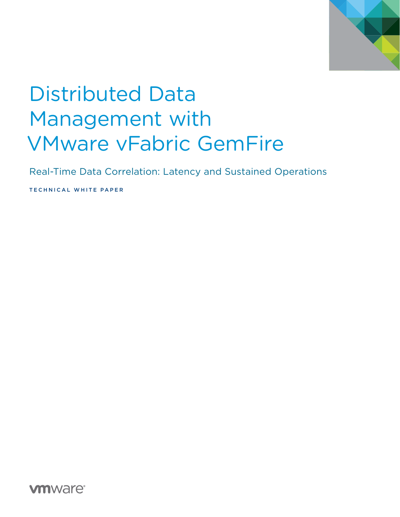

# Distributed Data Management with VMware vFabric GemFire

Real-Time Data Correlation: Latency and Sustained Operations

TECHNICAL WHITE PAPER

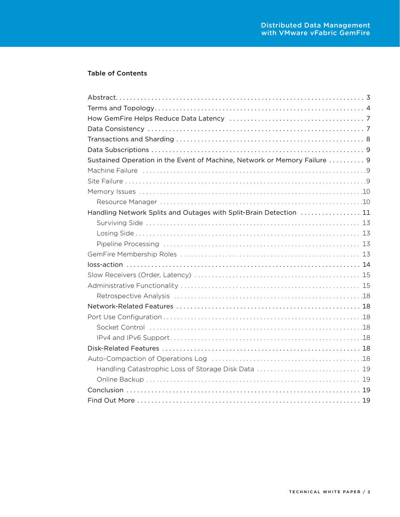## Table of Contents

| Sustained Operation in the Event of Machine, Network or Memory Failure  9 |
|---------------------------------------------------------------------------|
|                                                                           |
|                                                                           |
|                                                                           |
|                                                                           |
| Handling Network Splits and Outages with Split-Brain Detection  11        |
|                                                                           |
|                                                                           |
|                                                                           |
|                                                                           |
|                                                                           |
|                                                                           |
|                                                                           |
|                                                                           |
|                                                                           |
|                                                                           |
|                                                                           |
|                                                                           |
|                                                                           |
|                                                                           |
| Handling Catastrophic Loss of Storage Disk Data  19                       |
|                                                                           |
|                                                                           |
|                                                                           |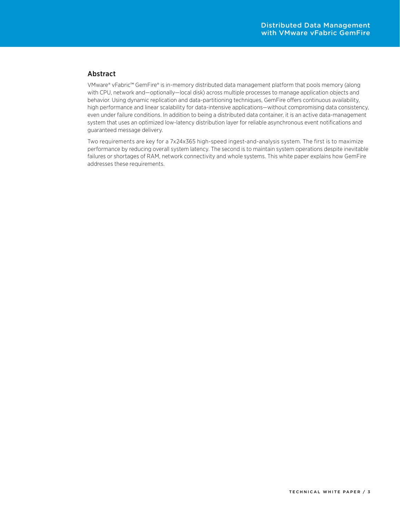## <span id="page-2-0"></span>Abstract

VMware® vFabric™ GemFire® is in-memory distributed data management platform that pools memory (along with CPU, network and—optionally—local disk) across multiple processes to manage application objects and behavior. Using dynamic replication and data-partitioning techniques, GemFire offers continuous availability, high performance and linear scalability for data-intensive applications—without compromising data consistency, even under failure conditions. In addition to being a distributed data container, it is an active data-management system that uses an optimized low-latency distribution layer for reliable asynchronous event notifications and guaranteed message delivery.

Two requirements are key for a 7x24x365 high-speed ingest-and-analysis system. The first is to maximize performance by reducing overall system latency. The second is to maintain system operations despite inevitable failures or shortages of RAM, network connectivity and whole systems. This white paper explains how GemFire addresses these requirements.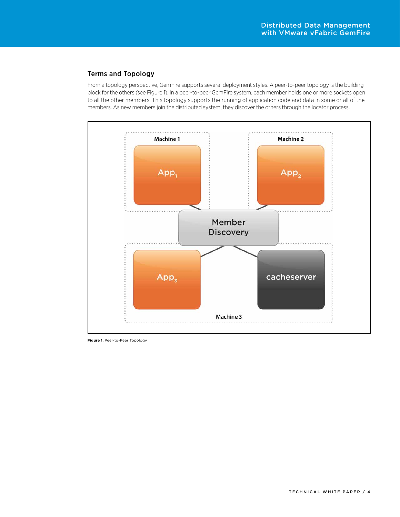## <span id="page-3-0"></span>Terms and Topology

From a topology perspective, GemFire supports several deployment styles. A peer-to-peer topology is the building block for the others (see Figure 1). In a peer-to-peer GemFire system, each member holds one or more sockets open to all the other members. This topology supports the running of application code and data in some or all of the members. As new members join the distributed system, they discover the others through the locator process.



**Figure 1.** Peer-to-Peer Topology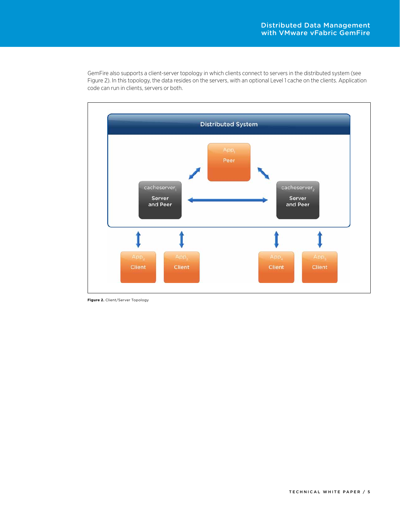GemFire also supports a client-server topology in which clients connect to servers in the distributed system (see Figure 2). In this topology, the data resides on the servers, with an optional Level 1 cache on the clients. Application code can run in clients, servers or both.



**Figure 2.** Client/Server Topology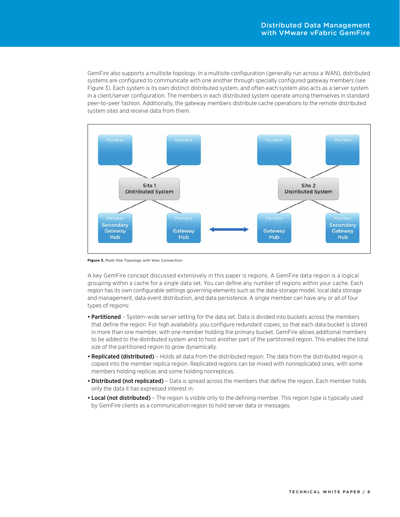GemFire also supports a multisite topology. In a multisite configuration (generally run across a WAN), distributed systems are configured to communicate with one another through specially configured gateway members (see Figure 3). Each system is its own distinct distributed system, and often each system also acts as a server system in a client/server configuration. The members in each distributed system operate among themselves in standard peer-to-peer fashion. Additionally, the gateway members distribute cache operations to the remote distributed system sites and receive data from them.



**Figure 3.** Multi-Site Topology with Wan Connection

A key GemFire concept discussed extensively in this paper is regions. A GemFire data region is a logical grouping within a cache for a single data set. You can define any number of regions within your cache. Each region has its own configurable settings governing elements such as the data-storage model, local data storage and management, data event distribution, and data persistence. A single member can have any or all of four types of regions:

- Partitioned System-wide server setting for the data set. Data is divided into buckets across the members that define the region. For high availability, you configure redundant copies, so that each data bucket is stored in more than one member, with one member holding the primary bucket. GemFire allows additional members to be added to the distributed system and to host another part of the partitioned region. This enables the total size of the partitioned region to grow dynamically.
- Replicated (distributed) Holds all data from the distributed region. The data from the distributed region is copied into the member replica region. Replicated regions can be mixed with nonreplicated ones, with some members holding replicas and some holding nonreplicas.
- Distributed (not replicated) Data is spread across the members that define the region. Each member holds only the data it has expressed interest in.
- Local (not distributed) The region is visible only to the defining member. This region type is typically used by GemFire clients as a communication region to hold server data or messages.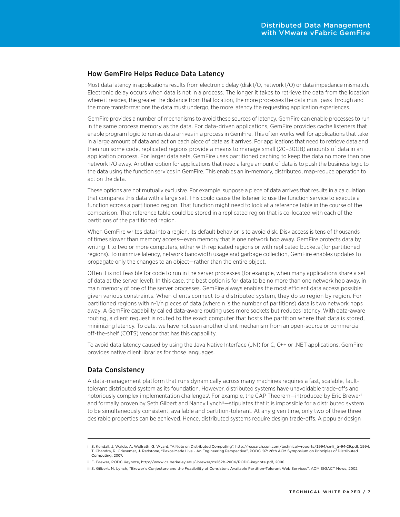## <span id="page-6-0"></span>How GemFire Helps Reduce Data Latency

Most data latency in applications results from electronic delay (disk I/O, network I/O) or data impedance mismatch. Electronic delay occurs when data is not in a process. The longer it takes to retrieve the data from the location where it resides, the greater the distance from that location, the more processes the data must pass through and the more transformations the data must undergo, the more latency the requesting application experiences.

GemFire provides a number of mechanisms to avoid these sources of latency. GemFire can enable processes to run in the same process memory as the data. For data-driven applications, GemFire provides cache listeners that enable program logic to run as data arrives in a process in GemFire. This often works well for applications that take in a large amount of data and act on each piece of data as it arrives. For applications that need to retrieve data and then run some code, replicated regions provide a means to manage small (20–30GB) amounts of data in an application process. For larger data sets, GemFire uses partitioned caching to keep the data no more than one network I/O away. Another option for applications that need a large amount of data is to push the business logic to the data using the function services in GemFire. This enables an in-memory, distributed, map-reduce operation to act on the data.

These options are not mutually exclusive. For example, suppose a piece of data arrives that results in a calculation that compares this data with a large set. This could cause the listener to use the function service to execute a function across a partitioned region. That function might need to look at a reference table in the course of the comparison. That reference table could be stored in a replicated region that is co-located with each of the partitions of the partitioned region.

When GemFire writes data into a region, its default behavior is to avoid disk. Disk access is tens of thousands of times slower than memory access—even memory that is one network hop away. GemFire protects data by writing it to two or more computers, either with replicated regions or with replicated buckets (for partitioned regions). To minimize latency, network bandwidth usage and garbage collection, GemFire enables updates to propagate only the changes to an object—rather than the entire object.

Often it is not feasible for code to run in the server processes (for example, when many applications share a set of data at the server level). In this case, the best option is for data to be no more than one network hop away, in main memory of one of the server processes. GemFire always enables the most efficient data access possible given various constraints. When clients connect to a distributed system, they do so region by region. For partitioned regions with n-1/n pieces of data (where n is the number of partitions) data is two network hops away. A GemFire capability called data-aware routing uses more sockets but reduces latency. With data-aware routing, a client request is routed to the exact computer that hosts the partition where that data is stored, minimizing latency. To date, we have not seen another client mechanism from an open-source or commercial off-the-shelf (COTS) vendor that has this capability.

To avoid data latency caused by using the Java Native Interface (JNI) for C, C++ or .NET applications, GemFire provides native client libraries for those languages.

## Data Consistency

A data-management platform that runs dynamically across many machines requires a fast, scalable, faulttolerant distributed system as its foundation. However, distributed systems have unavoidable trade-offs and notoriously complex implementation challenges!. For example, the CAP Theorem—introduced by Eric Brewer<sup>ii</sup> and formally proven by Seth Gilbert and Nancy Lynch<sup>iii</sup>—stipulates that it is impossible for a distributed system to be simultaneously consistent, available and partition-tolerant. At any given time, only two of these three desirable properties can be achieved. Hence, distributed systems require design trade-offs. A popular design

i S. Kendall, J. Waldo, A. Wollrath, G. Wyant, "A Note on Distributed Computing", http://research.sun.com/technical—reports/1994/smli\_tr-94-29.pdf, 1994. T. Chandra, R. Griesemer, J. Redstone, "Paxos Made Live – An Engineering Perspective", PODC '07: 26th ACM Symposium on Principles of Distributed Computing, 2007.

ii E. Brewer, PODC Keynote, http://www.cs.berkeley.edu/~brewer/cs262b-2004/PODC-keynote.pdf, 2000.

iii S. Gilbert, N. Lynch, "Brewer's Conjecture and the Feasibility of Consistent Available Partition-Tolerant Web Services", ACM SIGACT News, 2002.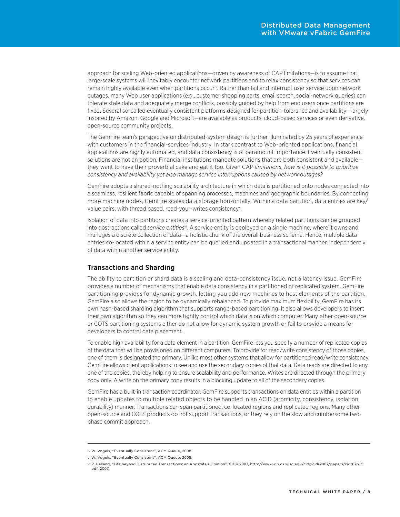<span id="page-7-0"></span>approach for scaling Web-oriented applications—driven by awareness of CAP limitations—is to assume that large-scale systems will inevitably encounter network partitions and to relax consistency so that services can remain highly available even when partitions occur<sup>iv</sup>. Rather than fail and interrupt user service upon network outages, many Web user applications (e.g., customer shopping carts, email search, social-network queries) can tolerate stale data and adequately merge conflicts, possibly guided by help from end users once partitions are fixed. Several so-called eventually consistent platforms designed for partition-tolerance and availability—largely inspired by Amazon, Google and Microsoft—are available as products, cloud-based services or even derivative, open-source community projects.

The GemFire team's perspective on distributed-system design is further illuminated by 25 years of experience with customers in the financial-services industry. In stark contrast to Web-oriented applications, financial applications are highly automated, and data consistency is of paramount importance. Eventually consistent solutions are not an option. Financial institutions mandate solutions that are both consistent and available they want to have their proverbial cake and eat it too. Given CAP *limitations, how is it possible to prioritize consistency and availability yet also manage service interruptions caused by network outages?*

GemFire adopts a shared-nothing scalability architecture in which data is partitioned onto nodes connected into a seamless, resilient fabric capable of spanning processes, machines and geographic boundaries. By connecting more machine nodes, GemFire scales data storage horizontally. Within a data partition, data entries are key/ value pairs, with thread based, read-your-writes consistency<sup>v</sup>.

Isolation of data into partitions creates a service-oriented pattern whereby related partitions can be grouped into abstractions called *service entities*vi. A service entity is deployed on a single machine, where it owns and manages a discrete collection of data—a holistic chunk of the overall business schema. Hence, multiple data entries co-located within a service entity can be queried and updated in a transactional manner, independently of data within another service entity.

## Transactions and Sharding

The ability to partition or shard data is a scaling and data-consistency issue, not a latency issue. GemFire provides a number of mechanisms that enable data consistency in a partitioned or replicated system. GemFire partitioning provides for dynamic growth, letting you add new machines to host elements of the partition. GemFire also allows the region to be dynamically rebalanced. To provide maximum flexibility, GemFire has its own hash-based sharding algorithm that supports range-based partitioning. It also allows developers to insert their own algorithm so they can more tightly control which data is on which computer. Many other open-source or COTS partitioning systems either do not allow for dynamic system growth or fail to provide a means for developers to control data placement.

To enable high availability for a data element in a partition, GemFire lets you specify a number of replicated copies of the data that will be provisioned on different computers. To provide for read/write consistency of those copies, one of them is designated the primary. Unlike most other systems that allow for partitioned read/write consistency, GemFire allows client applications to see and use the secondary copies of that data. Data reads are directed to any one of the copies, thereby helping to ensure scalability and performance. Writes are directed through the primary copy only. A write on the primary copy results in a blocking update to all of the secondary copies.

GemFire has a built-in transaction coordinator. GemFire supports transactions on data entities within a partition to enable updates to multiple related objects to be handled in an ACID (atomicity, consistency, isolation, durability) manner. Transactions can span partitioned, co-located regions and replicated regions. Many other open-source and COTS products do not support transactions, or they rely on the slow and cumbersome twophase commit approach.

iv W. Vogels, "Eventually Consistent", ACM Queue, 2008.

v W. Vogels, "Eventually Consistent", ACM Queue, 2008.

vi P. Helland, "Life beyond Distributed Transactions: an Apostate's Opinion", CIDR 2007, http://www-db.cs.wisc.edu/cidr/cidr2007/papers/cidr07p15. pdf, 2007.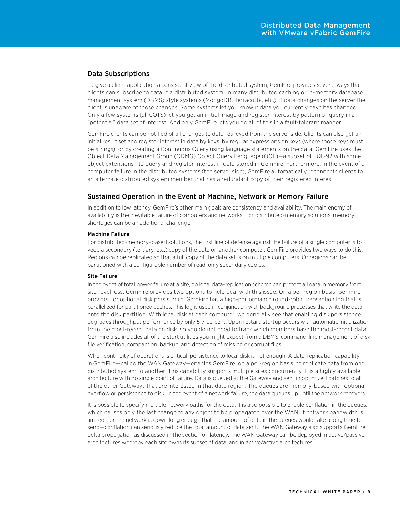## <span id="page-8-0"></span>Data Subscriptions

To give a client application a consistent view of the distributed system, GemFire provides several ways that clients can subscribe to data in a distributed system. In many distributed caching or in-memory database management system (DBMS) style systems (MongoDB, Terracotta, etc.), if data changes on the server the client is unaware of those changes. Some systems let you know if data you currently have has changed. Only a few systems (all COTS) let you get an initial image and register interest by pattern or query in a "potential" data set of interest. And only GemFire lets you do all of this in a fault-tolerant manner.

GemFire clients can be notified of all changes to data retrieved from the server side. Clients can also get an initial result set and register interest in data by keys, by regular expressions on keys (where those keys must be strings), or by creating a Continuous Query using language statements on the data. GemFire uses the Object Data Management Group (ODMG) Object Query Language (OQL)—a subset of SQL-92 with some object extensions—to query and register interest in data stored in GemFire. Furthermore, in the event of a computer failure in the distributed systems (the server side), GemFire automatically reconnects clients to an alternate distributed system member that has a redundant copy of their registered interest.

## Sustained Operation in the Event of Machine, Network or Memory Failure

In addition to low latency, GemFire's other main goals are consistency and availability. The main enemy of availability is the inevitable failure of computers and networks. For distributed-memory solutions, memory shortages can be an additional challenge.

#### Machine Failure

For distributed-memory–based solutions, the first line of defense against the failure of a single computer is to keep a secondary (tertiary, etc.) copy of the data on another computer. GemFire provides two ways to do this. Regions can be replicated so that a full copy of the data set is on multiple computers. Or regions can be partitioned with a configurable number of read-only secondary copies.

#### Site Failure

In the event of total power failure at a site, no local data-replication scheme can protect all data in memory from site-level loss. GemFire provides two options to help deal with this issue. On a per-region basis, GemFire provides for optional disk persistence. GemFire has a high-performance round-robin transaction log that is parallelized for partitioned caches. This log is used in conjunction with background processes that write the data onto the disk partition. With local disk at each computer, we generally see that enabling disk persistence degrades throughput performance by only 5-7 percent. Upon restart, startup occurs with automatic initialization from the most-recent data on disk, so you do not need to track which members have the most-recent data. GemFire also includes all of the start utilities you might expect from a DBMS: command-line management of disk file verification, compaction, backup, and detection of missing or corrupt files.

When continuity of operations is critical, persistence to local disk is not enough. A data-replication capability in GemFire—called the WAN Gateway—enables GemFire, on a per-region basis, to replicate data from one distributed system to another. This capability supports multiple sites concurrently. It is a highly available architecture with no single point of failure. Data is queued at the Gateway and sent in optimized batches to all of the other Gateways that are interested in that data region. The queues are memory-based with optional overflow or persistence to disk. In the event of a network failure, the data queues up until the network recovers.

It is possible to specify multiple network paths for the data. It is also possible to enable conflation in the queues, which causes only the last change to any object to be propagated over the WAN. If network bandwidth is limited—or the network is down long enough that the amount of data in the queues would take a long time to send—conflation can seriously reduce the total amount of data sent. The WAN Gateway also supports GemFire delta propagation as discussed in the section on latency. The WAN Gateway can be deployed in active/passive architectures whereby each site owns its subset of data, and in active/active architectures.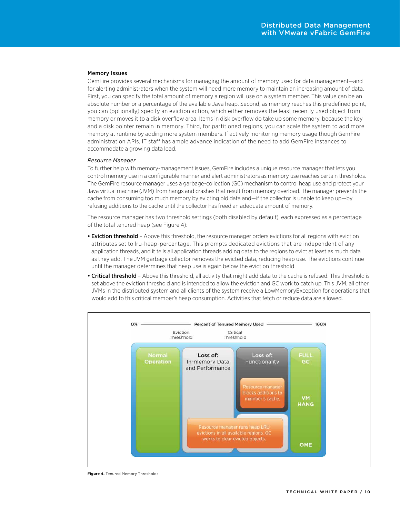#### <span id="page-9-0"></span>Memory Issues

GemFire provides several mechanisms for managing the amount of memory used for data management—and for alerting administrators when the system will need more memory to maintain an increasing amount of data. First, you can specify the total amount of memory a region will use on a system member. This value can be an absolute number or a percentage of the available Java heap. Second, as memory reaches this predefined point, you can (optionally) specify an eviction action, which either removes the least recently used object from memory or moves it to a disk overflow area. Items in disk overflow do take up some memory, because the key and a disk pointer remain in memory. Third, for partitioned regions, you can scale the system to add more memory at runtime by adding more system members. If actively monitoring memory usage though GemFire administration APIs, IT staff has ample advance indication of the need to add GemFire instances to accommodate a growing data load.

#### *Resource Manager*

To further help with memory-management issues, GemFire includes a unique resource manager that lets you control memory use in a configurable manner and alert administrators as memory use reaches certain thresholds. The GemFire resource manager uses a garbage-collection (GC) mechanism to control heap use and protect your Java virtual machine (JVM) from hangs and crashes that result from memory overload. The manager prevents the cache from consuming too much memory by evicting old data and—if the collector is unable to keep up—by refusing additions to the cache until the collector has freed an adequate amount of memory.

The resource manager has two threshold settings (both disabled by default), each expressed as a percentage of the total tenured heap (see Figure 4):

- Eviction threshold Above this threshold, the resource manager orders evictions for all regions with eviction attributes set to lru-heap-percentage. This prompts dedicated evictions that are independent of any application threads, and it tells all application threads adding data to the regions to evict at least as much data as they add. The JVM garbage collector removes the evicted data, reducing heap use. The evictions continue until the manager determines that heap use is again below the eviction threshold.
- Critical threshold Above this threshold, all activity that might add data to the cache is refused. This threshold is set above the eviction threshold and is intended to allow the eviction and GC work to catch up. This JVM, all other JVMs in the distributed system and all clients of the system receive a LowMemoryException for operations that would add to this critical member's heap consumption. Activities that fetch or reduce data are allowed.



**Figure 4.** Tenured Memory Thresholds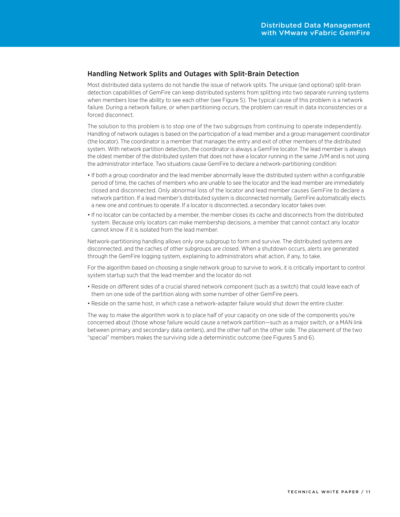## <span id="page-10-0"></span>Handling Network Splits and Outages with Split-Brain Detection

Most distributed data systems do not handle the issue of network splits. The unique (and optional) split-brain detection capabilities of GemFire can keep distributed systems from splitting into two separate running systems when members lose the ability to see each other (see Figure 5). The typical cause of this problem is a network failure. During a network failure, or when partitioning occurs, the problem can result in data inconsistencies or a forced disconnect.

The solution to this problem is to stop one of the two subgroups from continuing to operate independently. Handling of network outages is based on the participation of a lead member and a group management coordinator (the locator). The coordinator is a member that manages the entry and exit of other members of the distributed system. With network partition detection, the coordinator is always a GemFire locator. The lead member is always the oldest member of the distributed system that does not have a locator running in the same JVM and is not using the administrator interface. Two situations cause GemFire to declare a network-partitioning condition:

- If both a group coordinator and the lead member abnormally leave the distributed system within a configurable period of time, the caches of members who are unable to see the locator and the lead member are immediately closed and disconnected. Only abnormal loss of the locator and lead member causes GemFire to declare a network partition. If a lead member's distributed system is disconnected normally, GemFire automatically elects a new one and continues to operate. If a locator is disconnected, a secondary locator takes over.
- • If no locator can be contacted by a member, the member closes its cache and disconnects from the distributed system. Because only locators can make membership decisions, a member that cannot contact any locator cannot know if it is isolated from the lead member.

Network-partitioning handling allows only one subgroup to form and survive. The distributed systems are disconnected, and the caches of other subgroups are closed. When a shutdown occurs, alerts are generated through the GemFire logging system, explaining to administrators what action, if any, to take.

For the algorithm based on choosing a single network group to survive to work, it is critically important to control system startup such that the lead member and the locator do not

- • Reside on different sides of a crucial shared network component (such as a switch) that could leave each of them on one side of the partition along with some number of other GemFire peers.
- Reside on the same host, in which case a network-adapter failure would shut down the entire cluster.

The way to make the algorithm work is to place half of your capacity on one side of the components you're concerned about (those whose failure would cause a network partition—such as a major switch, or a MAN link between primary and secondary data centers), and the other half on the other side. The placement of the two "special" members makes the surviving side a deterministic outcome (see Figures 5 and 6).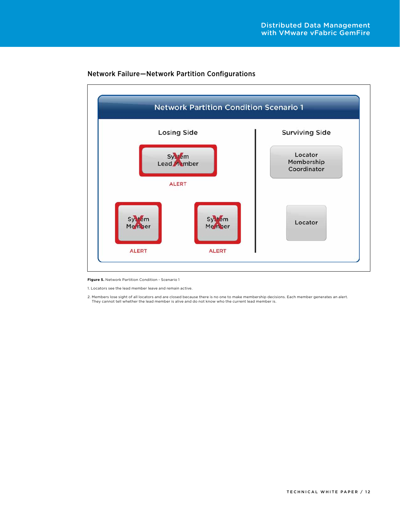

## Network Failure—Network Partition Configurations

**Figure 5.** Network Partition Condition - Scenario 1

1. Locators see the lead member leave and remain active.

2. Members lose sight of all locators and are closed because there is no one to make membership decisions. Each member generates an alert. They cannot tell whether the lead member is alive and do not know who the current lead member is.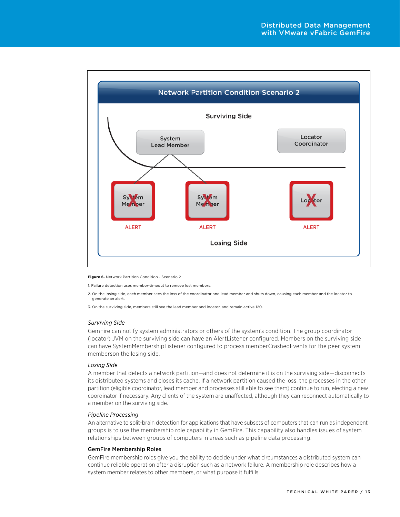<span id="page-12-0"></span>

#### **Figure 6.** Network Partition Condition - Scenario 2

1. Failure detection uses member-timeout to remove lost members.

2. On the losing side, each member sees the loss of the coordinator and lead member and shuts down, causing each member and the locator to generate an alert.

3. On the surviving side, members still see the lead member and locator, and remain active 120.

#### *Surviving Side*

GemFire can notify system administrators or others of the system's condition. The group coordinator (locator) JVM on the surviving side can have an AlertListener configured. Members on the surviving side can have SystemMembershipListener configured to process memberCrashedEvents for the peer system memberson the losing side.

#### *Losing Side*

A member that detects a network partition—and does not determine it is on the surviving side—disconnects its distributed systems and closes its cache. If a network partition caused the loss, the processes in the other partition (eligible coordinator, lead member and processes still able to see them) continue to run, electing a new coordinator if necessary. Any clients of the system are unaffected, although they can reconnect automatically to a member on the surviving side.

#### *Pipeline Processing*

An alternative to split-brain detection for applications that have subsets of computers that can run as independent groups is to use the membership role capability in GemFire. This capability also handles issues of system relationships between groups of computers in areas such as pipeline data processing.

#### GemFire Membership Roles

GemFire membership roles give you the ability to decide under what circumstances a distributed system can continue reliable operation after a disruption such as a network failure. A membership role describes how a system member relates to other members, or what purpose it fulfills.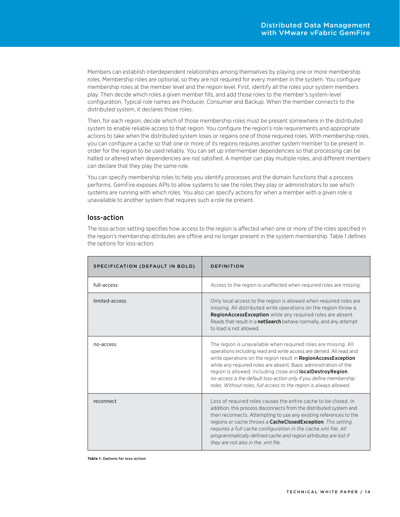<span id="page-13-0"></span>Members can establish interdependent relationships among themselves by playing one or more membership roles. Membership roles are optional, so they are not required for every member in the system. You configure membership roles at the member level and the region level. First, identify all the roles your system members play. Then decide which roles a given member fills, and add those roles to the member's system-level configuration. Typical role names are Producer, Consumer and Backup. When the member connects to the distributed system, it declares those roles.

Then, for each region, decide which of those membership roles must be present somewhere in the distributed system to enable reliable access to that region. You configure the region's role requirements and appropriate actions to take when the distributed system loses or regains one of those required roles. With membership roles, you can configure a cache so that one or more of its regions requires another system member to be present in order for the region to be used reliably. You can set up intermember dependencies so that processing can be halted or altered when dependencies are not satisfied. A member can play multiple roles, and different members can declare that they play the same role.

You can specify membership roles to help you identify processes and the domain functions that a process performs. GemFire exposes APIs to allow systems to see the roles they play or administrators to see which systems are running with which roles. You also can specify actions for when a member with a given role is unavailable to another system that requires such a role be present.

## loss-action

The loss-action setting specifies how access to the region is affected when one or more of the roles specified in the region's membership attributes are offline and no longer present in the system membership. Table 1 defines the options for loss-action.

| SPECIFICATION (DEFAULT IN BOLD) | DEFINITION                                                                                                                                                                                                                                                                                                                                                                                                                                                                                    |  |
|---------------------------------|-----------------------------------------------------------------------------------------------------------------------------------------------------------------------------------------------------------------------------------------------------------------------------------------------------------------------------------------------------------------------------------------------------------------------------------------------------------------------------------------------|--|
| full-access                     | Access to the region is unaffected when required roles are missing.                                                                                                                                                                                                                                                                                                                                                                                                                           |  |
| limited-access                  | Only local access to the region is allowed when required roles are<br>missing. All distributed write operations on the region throw a<br><b>RegionAccessException</b> while any required roles are absent.<br>Reads that result in a netSearch behave normally, and any attempt<br>to load is not allowed.                                                                                                                                                                                    |  |
| no-access                       | The region is unavailable when required roles are missing. All<br>operations including read and write access are denied. All read and<br>write operations on the region result in RegionAccessException<br>while any required roles are absent. Basic administration of the<br>region is allowed, including close and <b>localDestroyRegion</b> .<br>no-access is the default loss-action only if you define membership<br>roles. Without roles, full access to the region is always allowed. |  |
| reconnect                       | Loss of required roles causes the entire cache to be closed. In<br>addition, this process disconnects from the distributed system and<br>then reconnects. Attempting to use any existing references to the<br>regions or cache throws a <b>CacheClosedException</b> . This setting<br>requires a full cache configuration in the cache.xml file. All<br>programmatically defined cache and region attributes are lost if<br>they are not also in the .xml file.                               |  |

**Table 1.** Options for loss-action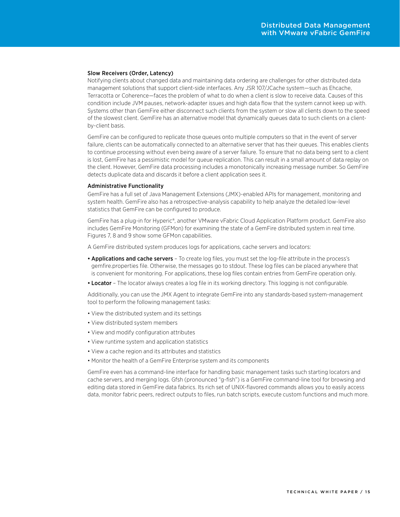#### <span id="page-14-0"></span>Slow Receivers (Order, Latency)

Notifying clients about changed data and maintaining data ordering are challenges for other distributed data management solutions that support client-side interfaces. Any JSR 107/JCache system—such as Ehcache, Terracotta or Coherence—faces the problem of what to do when a client is slow to receive data. Causes of this condition include JVM pauses, network-adapter issues and high data flow that the system cannot keep up with. Systems other than GemFire either disconnect such clients from the system or slow all clients down to the speed of the slowest client. GemFire has an alternative model that dynamically queues data to such clients on a clientby-client basis.

GemFire can be configured to replicate those queues onto multiple computers so that in the event of server failure, clients can be automatically connected to an alternative server that has their queues. This enables clients to continue processing without even being aware of a server failure. To ensure that no data being sent to a client is lost, GemFire has a pessimistic model for queue replication. This can result in a small amount of data replay on the client. However, GemFire data processing includes a monotonically increasing message number. So GemFire detects duplicate data and discards it before a client application sees it.

#### Administrative Functionality

GemFire has a full set of Java Management Extensions (JMX)-enabled APIs for management, monitoring and system health. GemFire also has a retrospective-analysis capability to help analyze the detailed low-level statistics that GemFire can be configured to produce.

GemFire has a plug-in for Hyperic®, another VMware vFabric Cloud Application Platform product. GemFire also includes GemFire Monitoring (GFMon) for examining the state of a GemFire distributed system in real time. Figures 7, 8 and 9 show some GFMon capabilities.

A GemFire distributed system produces logs for applications, cache servers and locators:

- Applications and cache servers To create log files, you must set the log-file attribute in the process's gemfire.properties file. Otherwise, the messages go to stdout. These log files can be placed anywhere that is convenient for monitoring. For applications, these log files contain entries from GemFire operation only.
- Locator The locator always creates a log file in its working directory. This logging is not configurable.

Additionally, you can use the JMX Agent to integrate GemFire into any standards-based system-management tool to perform the following management tasks:

- • View the distributed system and its settings
- • View distributed system members
- • View and modify configuration attributes
- View runtime system and application statistics
- • View a cache region and its attributes and statistics
- Monitor the health of a GemFire Enterprise system and its components

GemFire even has a command-line interface for handling basic management tasks such starting locators and cache servers, and merging logs. Gfsh (pronounced "g-fish") is a GemFire command-line tool for browsing and editing data stored in GemFire data fabrics. Its rich set of UNIX-flavored commands allows you to easily access data, monitor fabric peers, redirect outputs to files, run batch scripts, execute custom functions and much more.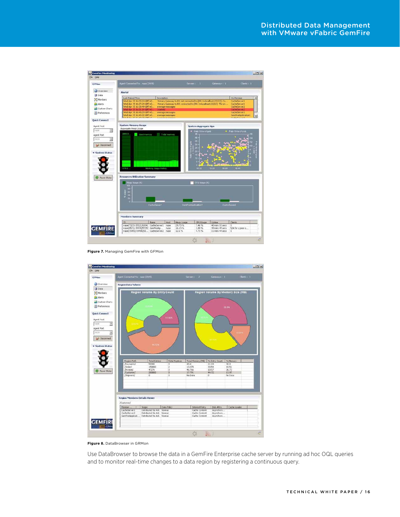

**Figure 7.** Managing GemFire with GFMon



**Figure 8.** DataBrowser in GRMon

Use DataBrowser to browse the data in a GemFire Enterprise cache server by running ad hoc OQL queries and to monitor real-time changes to a data region by registering a continuous query.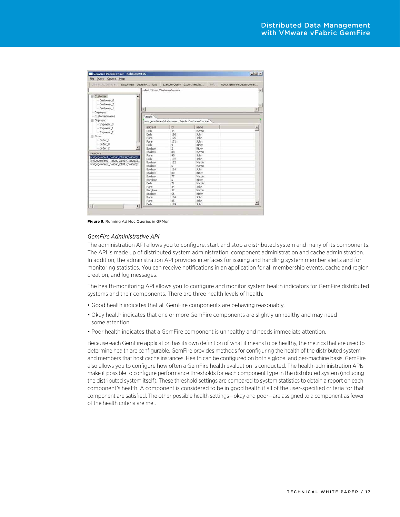| <b>GemFire DataBrowser - halibut:29136</b><br>File Query Options Help        |                                                  |                                |                                                                                                              | $ \Box$ $\times$ |
|------------------------------------------------------------------------------|--------------------------------------------------|--------------------------------|--------------------------------------------------------------------------------------------------------------|------------------|
|                                                                              |                                                  |                                | Connect to Geneve  Disconnect Security  Exit Execute Query Export Results    Help  About GemFire DataBrowser |                  |
|                                                                              |                                                  | select * from /CustomerInvoice |                                                                                                              |                  |
| Customer<br>Customer <sub>0</sub><br>-Customer 2<br>- Customer 1<br>Employee | X.                                               |                                |                                                                                                              |                  |
| CustomerInvoice                                                              | Results                                          |                                |                                                                                                              |                  |
| Shipment                                                                     | com.gemstone.databrowser.objects.CustomerInvoice |                                |                                                                                                              |                  |
| Shipment 0<br>-Shipment 1                                                    | address                                          | kd                             | name                                                                                                         | ۰                |
|                                                                              | Delhi                                            | 44                             | Martin                                                                                                       |                  |
| Shipment <sub>2</sub>                                                        | Delhi                                            | 180                            | <b>John</b>                                                                                                  |                  |
| E-Order                                                                      | Pune                                             | 125                            | <b>John</b>                                                                                                  |                  |
| Order 1                                                                      | Pune                                             | 171                            | <b>John</b>                                                                                                  |                  |
| Order 0                                                                      | Delhi                                            | 9                              | Ricky                                                                                                        |                  |
| Order <sub>2</sub>                                                           | Bombay                                           | $\overline{c}$                 | Ricky                                                                                                        |                  |
|                                                                              | Borribay                                         | 88                             | Martin                                                                                                       |                  |
| Members                                                                      | Pune                                             | 90                             | <b>John</b>                                                                                                  |                  |
| bridgegemfire1_halbut_21008(halbut(21                                        | Delhi                                            | 197                            | <b>John</b>                                                                                                  |                  |
| bridgegenfire3_halibut_21028(halibut(21                                      | Bombay                                           | 122                            | Martin                                                                                                       |                  |
| bridgegemfire2_halibut_21014(halibut(21                                      | Bombay                                           | 5                              | Martin                                                                                                       |                  |
|                                                                              | Borribay                                         | 114                            | John                                                                                                         |                  |
|                                                                              | Bombay                                           | 88                             | Ricky                                                                                                        |                  |
|                                                                              | Bombay                                           | 77                             | Martin                                                                                                       |                  |
|                                                                              | Banglore                                         | 6                              | Ridky                                                                                                        |                  |
|                                                                              | Dehi                                             | 71                             | Martin                                                                                                       |                  |
|                                                                              | Pune                                             | 34                             | <b>John</b>                                                                                                  |                  |
|                                                                              | Banglore                                         | 32                             | Martin                                                                                                       |                  |
|                                                                              | Bombay                                           | 55                             | Riday                                                                                                        |                  |
|                                                                              | Pune                                             | 104                            | John.                                                                                                        |                  |
|                                                                              | Pune                                             | 35                             | <b>John</b>                                                                                                  |                  |
| $\blacksquare$                                                               | Debi<br>$\blacktriangleright$                    | 189                            | <b>John</b>                                                                                                  |                  |

**Figure 9.** Running Ad Hoc Queries in GFMon

#### *GemFire Administrative API*

The administration API allows you to configure, start and stop a distributed system and many of its components. The API is made up of distributed system administration, component administration and cache administration. In addition, the administration API provides interfaces for issuing and handling system member alerts and for monitoring statistics. You can receive notifications in an application for all membership events, cache and region creation, and log messages.

The health-monitoring API allows you to configure and monitor system health indicators for GemFire distributed systems and their components. There are three health levels of health:

- • Good health indicates that all GemFire components are behaving reasonably,
- Okay health indicates that one or more GemFire components are slightly unhealthy and may need some attention.
- • Poor health indicates that a GemFire component is unhealthy and needs immediate attention.

Because each GemFire application has its own definition of what it means to be healthy, the metrics that are used to determine health are configurable. GemFire provides methods for configuring the health of the distributed system and members that host cache instances. Health can be configured on both a global and per-machine basis. GemFire also allows you to configure how often a GemFire health evaluation is conducted. The health-administration APIs make it possible to configure performance thresholds for each component type in the distributed system (including the distributed system itself). These threshold settings are compared to system statistics to obtain a report on each component's health. A component is considered to be in good health if all of the user-specified criteria for that component are satisfied. The other possible health settings—okay and poor—are assigned to a component as fewer of the health criteria are met.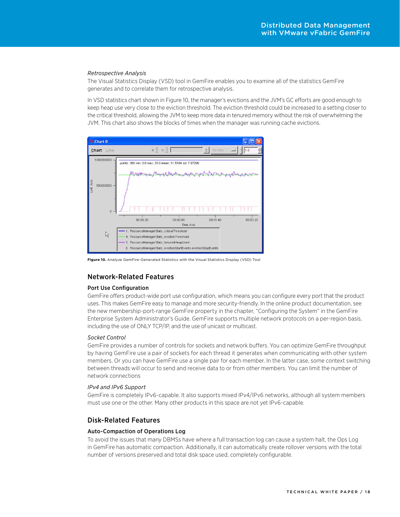#### <span id="page-17-0"></span>*Retrospective Analysis*

The Visual Statistics Display (VSD) tool in GemFire enables you to examine all of the statistics GemFire generates and to correlate them for retrospective analysis.

In VSD statistics chart shown in Figure 10, the manager's evictions and the JVM's GC efforts are good enough to keep heap use very close to the eviction threshold. The eviction threshold could be increased to a setting closer to the critical threshold, allowing the JVM to keep more data in tenured memory without the risk of overwhelming the JVM. This chart also shows the blocks of times when the manager was running cache evictions.



**Figure 10.** Analyze GemFire-Generated Statistics with the Visual Statistics Display (VSD) Tool

## Network-Related Features

#### Port Use Configuration

GemFire offers product-wide port use configuration, which means you can configure every port that the product uses. This makes GemFire easy to manage and more security-friendly. In the online product documentation, see the new membership-port-range GemFire property in the chapter, "Configuring the System" in the GemFire Enterprise System Administrator's Guide. GemFire supports multiple network protocols on a per-region basis, including the use of ONLY TCP/IP, and the use of unicast or multicast.

#### *Socket Control*

GemFire provides a number of controls for sockets and network buffers. You can optimize GemFire throughput by having GemFire use a pair of sockets for each thread it generates when communicating with other system members. Or you can have GemFire use a single pair for each member. In the latter case, some context switching between threads will occur to send and receive data to or from other members. You can limit the number of network connections

#### *IPv4 and IPv6 Support*

GemFire is completely IPv6-capable. It also supports mixed IPv4/IPv6 networks, although all system members must use one or the other. Many other products in this space are not yet IPv6-capable.

## Disk-Related Features

#### Auto-Compaction of Operations Log

To avoid the issues that many DBMSs have where a full transaction log can cause a system halt, the Ops Log in GemFire has automatic compaction. Additionally, it can automatically create rollover versions with the total number of versions preserved and total disk space used, completely configurable.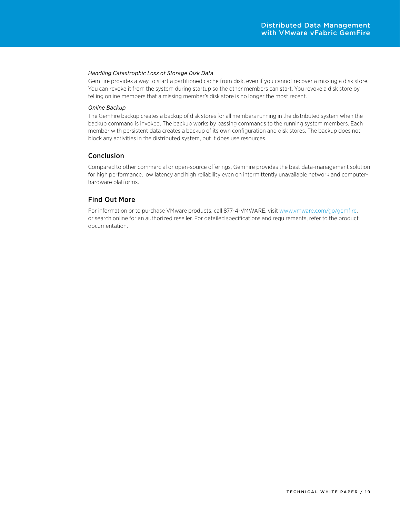#### <span id="page-18-0"></span>*Handling Catastrophic Loss of Storage Disk Data*

GemFire provides a way to start a partitioned cache from disk, even if you cannot recover a missing a disk store. You can revoke it from the system during startup so the other members can start. You revoke a disk store by telling online members that a missing member's disk store is no longer the most recent.

#### *Online Backup*

The GemFire backup creates a backup of disk stores for all members running in the distributed system when the backup command is invoked. The backup works by passing commands to the running system members. Each member with persistent data creates a backup of its own configuration and disk stores. The backup does not block any activities in the distributed system, but it does use resources.

## Conclusion

Compared to other commercial or open-source offerings, GemFire provides the best data-management solution for high performance, low latency and high reliability even on intermittently unavailable network and computerhardware platforms.

## Find Out More

For information or to purchase VMware products, call 877-4-VMWARE, visit <www.vmware.com/go/gemfire>, or search online for an authorized reseller. For detailed specifications and requirements, refer to the product documentation.